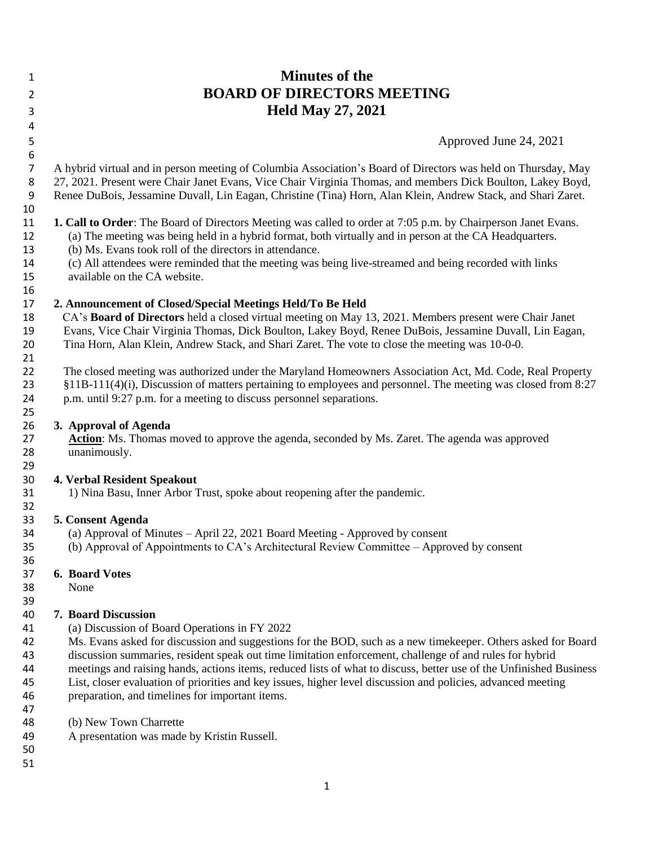### **Minutes of the BOARD OF DIRECTORS MEETING Held May 27, 2021**

Approved June 24, 2021

 A hybrid virtual and in person meeting of Columbia Association's Board of Directors was held on Thursday, May 27, 2021. Present were Chair Janet Evans, Vice Chair Virginia Thomas, and members Dick Boulton, Lakey Boyd, Renee DuBois, Jessamine Duvall, Lin Eagan, Christine (Tina) Horn, Alan Klein, Andrew Stack, and Shari Zaret.

#### **1. Call to Order**: The Board of Directors Meeting was called to order at 7:05 p.m. by Chairperson Janet Evans.

(a) The meeting was being held in a hybrid format, both virtually and in person at the CA Headquarters.

- (b) Ms. Evans took roll of the directors in attendance.
- (c) All attendees were reminded that the meeting was being live-streamed and being recorded with links available on the CA website.

### **2. Announcement of Closed/Special Meetings Held/To Be Held**

 CA's **Board of Directors** held a closed virtual meeting on May 13, 2021. Members present were Chair Janet Evans, Vice Chair Virginia Thomas, Dick Boulton, Lakey Boyd, Renee DuBois, Jessamine Duvall, Lin Eagan, Tina Horn, Alan Klein, Andrew Stack, and Shari Zaret. The vote to close the meeting was 10-0-0.

 The closed meeting was authorized under the Maryland Homeowners Association Act, Md. Code, Real Property §11B-111(4)(i), Discussion of matters pertaining to employees and personnel. The meeting was closed from 8:27 p.m. until 9:27 p.m. for a meeting to discuss personnel separations.

#### **3. Approval of Agenda**

27 **Action**: Ms. Thomas moved to approve the agenda, seconded by Ms. Zaret. The agenda was approved<br>28 **IMP** unanimously. unanimously.

# **4. Verbal Resident Speakout**

1) Nina Basu, Inner Arbor Trust, spoke about reopening after the pandemic.

### **5. Consent Agenda**

- 34 (a) Approval of Minutes April 22, 2021 Board Meeting Approved by consent<br>35 (b) Approval of Appointments to CA's Architectural Review Committee Appro
	- (b) Approval of Appointments to CA's Architectural Review Committee Approved by consent

# **6. Board Votes**

None

### **7. Board Discussion**

- (a) Discussion of Board Operations in FY 2022
- Ms. Evans asked for discussion and suggestions for the BOD, such as a new timekeeper. Others asked for Board discussion summaries, resident speak out time limitation enforcement, challenge of and rules for hybrid
- 44 meetings and raising hands, actions items, reduced lists of what to discuss, better use of the Unfinished Business<br>45 List, closer evaluation of priorities and key issues, higher level discussion and policies, advanced
- List, closer evaluation of priorities and key issues, higher level discussion and policies, advanced meeting preparation, and timelines for important items.
- 
- (b) New Town Charrette
- A presentation was made by Kristin Russell.
-